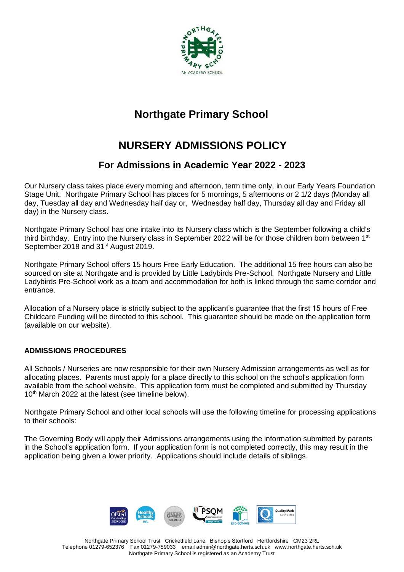

# **Northgate Primary School**

# **NURSERY ADMISSIONS POLICY**

## **For Admissions in Academic Year 2022 - 2023**

Our Nursery class takes place every morning and afternoon, term time only, in our Early Years Foundation Stage Unit. Northgate Primary School has places for 5 mornings, 5 afternoons or 2 1/2 days (Monday all day, Tuesday all day and Wednesday half day or, Wednesday half day, Thursday all day and Friday all day) in the Nursery class.

Northgate Primary School has one intake into its Nursery class which is the September following a child's third birthday. Entry into the Nursery class in September 2022 will be for those children born between 1<sup>st</sup> September 2018 and 31<sup>st</sup> August 2019.

Northgate Primary School offers 15 hours Free Early Education. The additional 15 free hours can also be sourced on site at Northgate and is provided by Little Ladybirds Pre-School. Northgate Nursery and Little Ladybirds Pre-School work as a team and accommodation for both is linked through the same corridor and entrance.

Allocation of a Nursery place is strictly subject to the applicant's guarantee that the first 15 hours of Free Childcare Funding will be directed to this school. This guarantee should be made on the application form (available on our website).

### **ADMISSIONS PROCEDURES**

All Schools / Nurseries are now responsible for their own Nursery Admission arrangements as well as for allocating places. Parents must apply for a place directly to this school on the school's application form available from the school website. This application form must be completed and submitted by Thursday 10<sup>th</sup> March 2022 at the latest (see timeline below).

Northgate Primary School and other local schools will use the following timeline for processing applications to their schools:

The Governing Body will apply their Admissions arrangements using the information submitted by parents in the School's application form. If your application form is not completed correctly, this may result in the application being given a lower priority. Applications should include details of siblings.



Northgate Primary School Trust Cricketfield Lane Bishop's Stortford Hertfordshire CM23 2RL Telephone 01279-652376 Fax 01279-759033 email admin@northgate.herts.sch.uk [www.northgate.herts.sch.uk](http://www.northgate.herts.sch.uk/)  Northgate Primary School is registered as an Academy Trust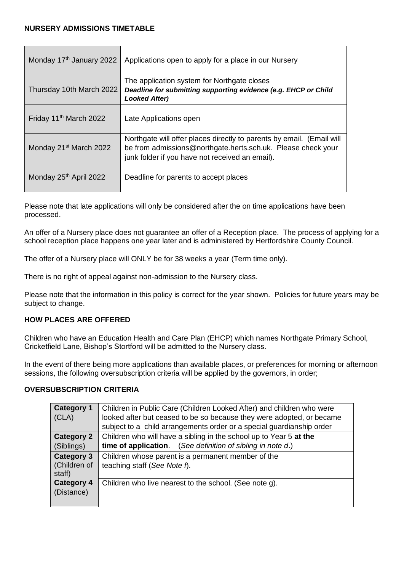$\mathbf{r}$ 

| Monday 17 <sup>th</sup> January 2022 | Applications open to apply for a place in our Nursery                                                                                                                                    |
|--------------------------------------|------------------------------------------------------------------------------------------------------------------------------------------------------------------------------------------|
| Thursday 10th March 2022             | The application system for Northgate closes<br>Deadline for submitting supporting evidence (e.g. EHCP or Child<br><b>Looked After)</b>                                                   |
| Friday 11 <sup>th</sup> March 2022   | Late Applications open                                                                                                                                                                   |
| Monday 21 <sup>st</sup> March 2022   | Northgate will offer places directly to parents by email. (Email will<br>be from admissions@northgate.herts.sch.uk. Please check your<br>junk folder if you have not received an email). |
| Monday 25th April 2022               | Deadline for parents to accept places                                                                                                                                                    |

Please note that late applications will only be considered after the on time applications have been processed.

An offer of a Nursery place does not guarantee an offer of a Reception place. The process of applying for a school reception place happens one year later and is administered by Hertfordshire County Council.

The offer of a Nursery place will ONLY be for 38 weeks a year (Term time only).

There is no right of appeal against non-admission to the Nursery class.

Please note that the information in this policy is correct for the year shown. Policies for future years may be subject to change.

### **HOW PLACES ARE OFFERED**

Children who have an Education Health and Care Plan (EHCP) which names Northgate Primary School, Cricketfield Lane, Bishop's Stortford will be admitted to the Nursery class.

In the event of there being more applications than available places, or preferences for morning or afternoon sessions, the following oversubscription criteria will be applied by the governors, in order;

### **OVERSUBSCRIPTION CRITERIA**

| <b>Category 1</b><br>(CLA)                  | Children in Public Care (Children Looked After) and children who were<br>looked after but ceased to be so because they were adopted, or became<br>subject to a child arrangements order or a special guardianship order |
|---------------------------------------------|-------------------------------------------------------------------------------------------------------------------------------------------------------------------------------------------------------------------------|
| <b>Category 2</b>                           | Children who will have a sibling in the school up to Year 5 at the                                                                                                                                                      |
| (Siblings)                                  | <b>time of application.</b> (See definition of sibling in note d.)                                                                                                                                                      |
| <b>Category 3</b><br>(Children of<br>staff) | Children whose parent is a permanent member of the<br>teaching staff (See Note f).                                                                                                                                      |
| <b>Category 4</b><br>(Distance)             | Children who live nearest to the school. (See note g).                                                                                                                                                                  |